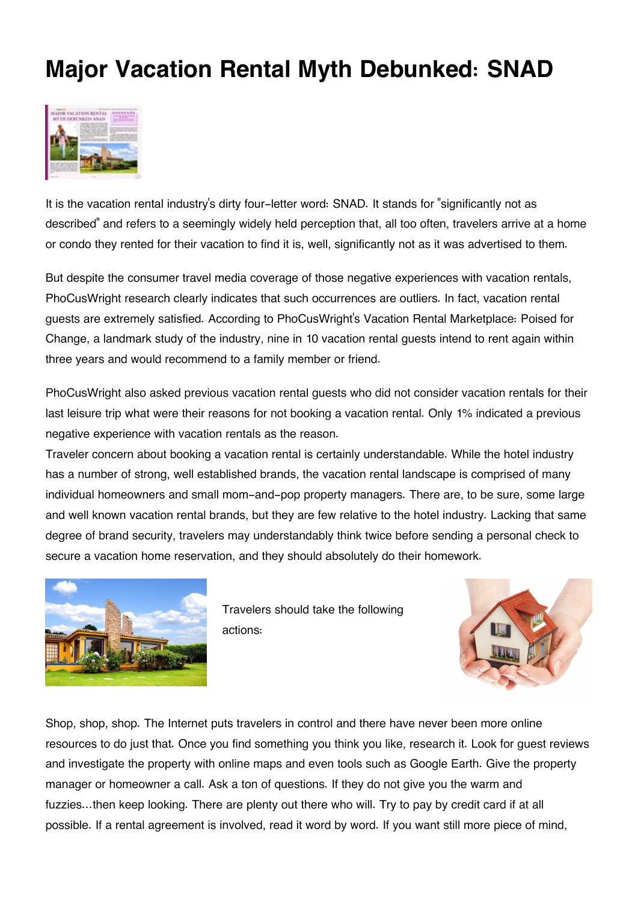## **Major Vacation Rental Myth Debunked: SNAD**



It is the vacation rental industry's dirty four-letter word: SNAD. It stands for "significantly not as described" and refers to a seemingly widely held perception that, all too often, travelers arrive at a home or condo they rented for their vacation to find it is, well, significantly not as it was advertised to them.

But despite the consumer travel media coverage of those negative experiences with vacation rentals, PhoCusWright research clearly indicates that such occurrences are outliers. In fact, vacation rental guests are extremely satisfied. According to PhoCusWright's Vacation Rental Marketplace: Poised for Change, a landmark study of the industry, nine in 10 vacation rental guests intend to rent again within three years and would recommend to a family member or friend.

PhoCusWright also asked previous vacation rental guests who did not consider vacation rentals for their last leisure trip what were their reasons for not booking a vacation rental. Only 1% indicated a previous negative experience with vacation rentals as the reason.

Traveler concern about booking a vacation rental is certainly understandable. While the hotel industry has a number of strong, well established brands, the vacation rental landscape is comprised of many individual homeowners and small mom-and-pop property managers. There are, to be sure, some large and well known vacation rental brands, but they are few relative to the hotel industry. Lacking that same degree of brand security, travelers may understandably think twice before sending a personal check to secure a vacation home reservation, and they should absolutely do their homework.



Travelers should take the following actions:



Shop, shop, shop. The Internet puts travelers in control and there have never been more online resources to do just that. Once you find something you think you like, research it. Look for guest reviews and investigate the property with online maps and even tools such as Google Earth. Give the property manager or homeowner a call. Ask a ton of questions. If they do not give you the warm and fuzzies…then keep looking. There are plenty out there who will. Try to pay by credit card if at all possible. If a rental agreement is involved, read it word by word. If you want still more piece of mind,